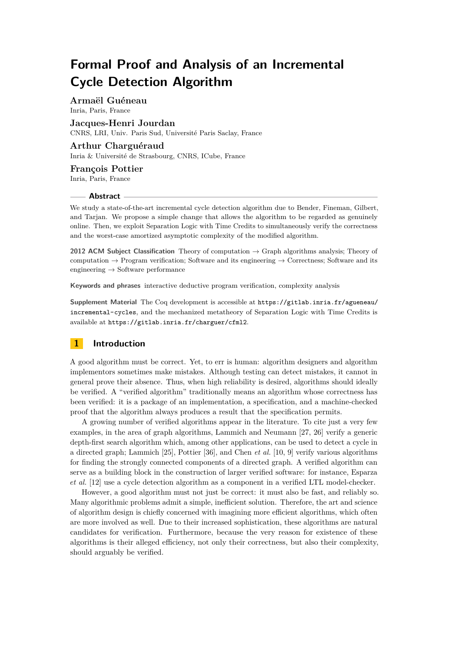**Armaël Guéneau** Inria, Paris, France

**Jacques-Henri Jourdan** CNRS, LRI, Univ. Paris Sud, Université Paris Saclay, France

# **Arthur Charguéraud**

Inria & Université de Strasbourg, CNRS, ICube, France

## **François Pottier** Inria, Paris, France

#### **Abstract**

We study a state-of-the-art incremental cycle detection algorithm due to Bender, Fineman, Gilbert, and Tarjan. We propose a simple change that allows the algorithm to be regarded as genuinely online. Then, we exploit Separation Logic with Time Credits to simultaneously verify the correctness and the worst-case amortized asymptotic complexity of the modified algorithm.

**2012 ACM Subject Classification** Theory of computation → Graph algorithms analysis; Theory of computation  $\rightarrow$  Program verification; Software and its engineering  $\rightarrow$  Correctness; Software and its engineering → Software performance

**Keywords and phrases** interactive deductive program verification, complexity analysis

**Supplement Material** The Coq development is accessible at [https://gitlab.inria.fr/agueneau/](https://gitlab.inria.fr/agueneau/incremental-cycles) [incremental-cycles](https://gitlab.inria.fr/agueneau/incremental-cycles), and the mechanized metatheory of Separation Logic with Time Credits is available at <https://gitlab.inria.fr/charguer/cfml2>.

# <span id="page-0-0"></span>**1 Introduction**

A good algorithm must be correct. Yet, to err is human: algorithm designers and algorithm implementors sometimes make mistakes. Although testing can detect mistakes, it cannot in general prove their absence. Thus, when high reliability is desired, algorithms should ideally be verified. A "verified algorithm" traditionally means an algorithm whose correctness has been verified: it is a package of an implementation, a specification, and a machine-checked proof that the algorithm always produces a result that the specification permits.

A growing number of verified algorithms appear in the literature. To cite just a very few examples, in the area of graph algorithms, Lammich and Neumann [\[27,](#page-18-0) [26\]](#page-18-1) verify a generic depth-first search algorithm which, among other applications, can be used to detect a cycle in a directed graph; Lammich [\[25\]](#page-18-2), Pottier [\[36\]](#page-18-3), and Chen *et al.* [\[10,](#page-17-0) [9\]](#page-17-1) verify various algorithms for finding the strongly connected components of a directed graph. A verified algorithm can serve as a building block in the construction of larger verified software: for instance, Esparza *et al.* [\[12\]](#page-17-2) use a cycle detection algorithm as a component in a verified LTL model-checker.

However, a good algorithm must not just be correct: it must also be fast, and reliably so. Many algorithmic problems admit a simple, inefficient solution. Therefore, the art and science of algorithm design is chiefly concerned with imagining more efficient algorithms, which often are more involved as well. Due to their increased sophistication, these algorithms are natural candidates for verification. Furthermore, because the very reason for existence of these algorithms is their alleged efficiency, not only their correctness, but also their complexity, should arguably be verified.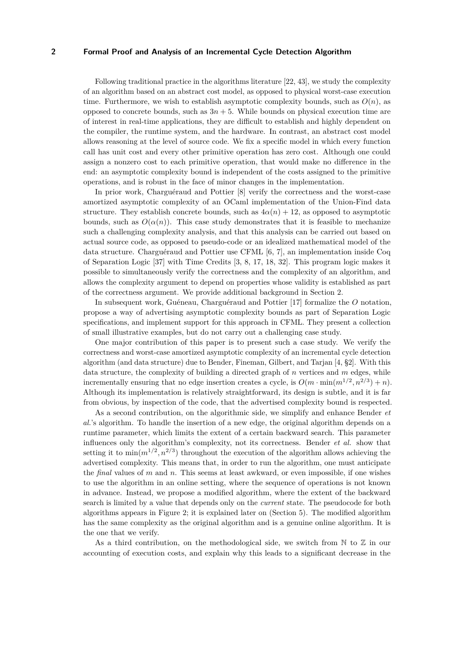Following traditional practice in the algorithms literature [\[22,](#page-18-4) [43\]](#page-19-0), we study the complexity of an algorithm based on an abstract cost model, as opposed to physical worst-case execution time. Furthermore, we wish to establish asymptotic complexity bounds, such as  $O(n)$ , as opposed to concrete bounds, such as  $3n + 5$ . While bounds on physical execution time are of interest in real-time applications, they are difficult to establish and highly dependent on the compiler, the runtime system, and the hardware. In contrast, an abstract cost model allows reasoning at the level of source code. We fix a specific model in which every function call has unit cost and every other primitive operation has zero cost. Although one could assign a nonzero cost to each primitive operation, that would make no difference in the end: an asymptotic complexity bound is independent of the costs assigned to the primitive operations, and is robust in the face of minor changes in the implementation.

In prior work, Charguéraud and Pottier [\[8\]](#page-17-3) verify the correctness and the worst-case amortized asymptotic complexity of an OCaml implementation of the Union-Find data structure. They establish concrete bounds, such as  $4\alpha(n) + 12$ , as opposed to asymptotic bounds, such as  $O(\alpha(n))$ . This case study demonstrates that it is feasible to mechanize such a challenging complexity analysis, and that this analysis can be carried out based on actual source code, as opposed to pseudo-code or an idealized mathematical model of the data structure. Charguéraud and Pottier use CFML [\[6,](#page-17-4) [7\]](#page-17-5), an implementation inside Coq of Separation Logic [\[37\]](#page-18-5) with Time Credits [\[3,](#page-17-6) [8,](#page-17-3) [17,](#page-17-7) [18,](#page-17-8) [32\]](#page-18-6). This program logic makes it possible to simultaneously verify the correctness and the complexity of an algorithm, and allows the complexity argument to depend on properties whose validity is established as part of the correctness argument. We provide additional background in Section [2.](#page-2-0)

In subsequent work, Guéneau, Charguéraud and Pottier [\[17\]](#page-17-7) formalize the *O* notation, propose a way of advertising asymptotic complexity bounds as part of Separation Logic specifications, and implement support for this approach in CFML. They present a collection of small illustrative examples, but do not carry out a challenging case study.

One major contribution of this paper is to present such a case study. We verify the correctness and worst-case amortized asymptotic complexity of an incremental cycle detection algorithm (and data structure) due to Bender, Fineman, Gilbert, and Tarjan [\[4,](#page-17-9) §2]. With this data structure, the complexity of building a directed graph of *n* vertices and *m* edges, while incrementally ensuring that no edge insertion creates a cycle, is  $O(m \cdot \min(m^{1/2}, n^{2/3}) + n)$ . Although its implementation is relatively straightforward, its design is subtle, and it is far from obvious, by inspection of the code, that the advertised complexity bound is respected.

As a second contribution, on the algorithmic side, we simplify and enhance Bender *et al.*'s algorithm. To handle the insertion of a new edge, the original algorithm depends on a runtime parameter, which limits the extent of a certain backward search. This parameter influences only the algorithm's complexity, not its correctness. Bender *et al.* show that setting it to  $\min(m^{1/2}, n^{2/3})$  throughout the execution of the algorithm allows achieving the advertised complexity. This means that, in order to run the algorithm, one must anticipate the *final* values of *m* and *n*. This seems at least awkward, or even impossible, if one wishes to use the algorithm in an online setting, where the sequence of operations is not known in advance. Instead, we propose a modified algorithm, where the extent of the backward search is limited by a value that depends only on the *current* state. The pseudocode for both algorithms appears in Figure [2;](#page-7-0) it is explained later on (Section [5\)](#page-7-0). The modified algorithm has the same complexity as the original algorithm and is a genuine online algorithm. It is the one that we verify.

As a third contribution, on the methodological side, we switch from  $\mathbb N$  to  $\mathbb Z$  in our accounting of execution costs, and explain why this leads to a significant decrease in the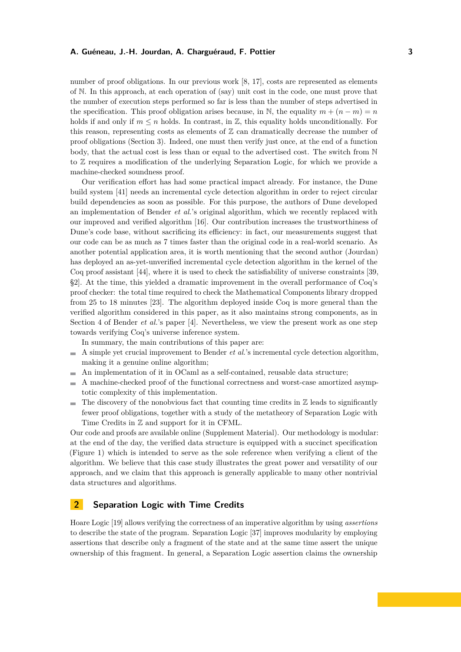number of proof obligations. In our previous work [\[8,](#page-17-3) [17\]](#page-17-7), costs are represented as elements of N. In this approach, at each operation of (say) unit cost in the code, one must prove that the number of execution steps performed so far is less than the number of steps advertised in the specification. This proof obligation arises because, in N, the equality  $m + (n - m) = n$ holds if and only if  $m \leq n$  holds. In contrast, in  $\mathbb{Z}$ , this equality holds unconditionally. For this reason, representing costs as elements of  $\mathbb Z$  can dramatically decrease the number of proof obligations (Section [3\)](#page-4-0). Indeed, one must then verify just once, at the end of a function body, that the actual cost is less than or equal to the advertised cost. The switch from N to Z requires a modification of the underlying Separation Logic, for which we provide a machine-checked soundness proof.

Our verification effort has had some practical impact already. For instance, the Dune build system [\[41\]](#page-18-7) needs an incremental cycle detection algorithm in order to reject circular build dependencies as soon as possible. For this purpose, the authors of Dune developed an implementation of Bender *et al.*'s original algorithm, which we recently replaced with our improved and verified algorithm [\[16\]](#page-17-10). Our contribution increases the trustworthiness of Dune's code base, without sacrificing its efficiency: in fact, our measurements suggest that our code can be as much as 7 times faster than the original code in a real-world scenario. As another potential application area, it is worth mentioning that the second author (Jourdan) has deployed an as-yet-unverified incremental cycle detection algorithm in the kernel of the Coq proof assistant [\[44\]](#page-19-1), where it is used to check the satisfiability of universe constraints [\[39,](#page-18-8) §2]. At the time, this yielded a dramatic improvement in the overall performance of Coq's proof checker: the total time required to check the Mathematical Components library dropped from 25 to 18 minutes [\[23\]](#page-18-9). The algorithm deployed inside Coq is more general than the verified algorithm considered in this paper, as it also maintains strong components, as in Section 4 of Bender *et al.*'s paper [\[4\]](#page-17-9). Nevertheless, we view the present work as one step towards verifying Coq's universe inference system.

In summary, the main contributions of this paper are:

- $\blacksquare$  A simple yet crucial improvement to Bender *et al.*'s incremental cycle detection algorithm. making it a genuine online algorithm;
- An implementation of it in OCaml as a self-contained, reusable data structure;  $\overline{\phantom{a}}$
- A machine-checked proof of the functional correctness and worst-case amortized asymp- $\sim$ totic complexity of this implementation.
- $\blacksquare$  The discovery of the nonobvious fact that counting time credits in  $\mathbb Z$  leads to significantly fewer proof obligations, together with a study of the metatheory of Separation Logic with Time Credits in Z and support for it in CFML.

Our code and proofs are available online (Supplement Material). Our methodology is modular: at the end of the day, the verified data structure is equipped with a succinct specification (Figure [1\)](#page-5-0) which is intended to serve as the sole reference when verifying a client of the algorithm. We believe that this case study illustrates the great power and versatility of our approach, and we claim that this approach is generally applicable to many other nontrivial data structures and algorithms.

# <span id="page-2-0"></span>**2 Separation Logic with Time Credits**

Hoare Logic [\[19\]](#page-17-11) allows verifying the correctness of an imperative algorithm by using *assertions* to describe the state of the program. Separation Logic [\[37\]](#page-18-5) improves modularity by employing assertions that describe only a fragment of the state and at the same time assert the unique ownership of this fragment. In general, a Separation Logic assertion claims the ownership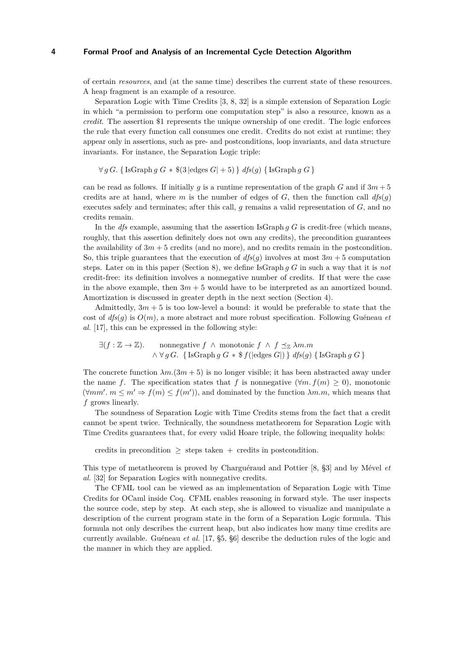of certain *resources*, and (at the same time) describes the current state of these resources. A heap fragment is an example of a resource.

Separation Logic with Time Credits [\[3,](#page-17-6) [8,](#page-17-3) [32\]](#page-18-6) is a simple extension of Separation Logic in which "a permission to perform one computation step" is also a resource, known as a *credit*. The assertion \$1 represents the unique ownership of one credit. The logic enforces the rule that every function call consumes one credit. Credits do not exist at runtime; they appear only in assertions, such as pre- and postconditions, loop invariants, and data structure invariants. For instance, the Separation Logic triple:

 $\forall g \ G$ . { IsGraph *g G*  $*$  \$(3 |edges *G*| + 5) } *dfs*(*g*) { IsGraph *g G* }

can be read as follows. If initially *g* is a runtime representation of the graph *G* and if  $3m + 5$ credits are at hand, where *m* is the number of edges of  $G$ , then the function call  $dfs(g)$ executes safely and terminates; after this call, *g* remains a valid representation of *G*, and no credits remain.

In the *dfs* example, assuming that the assertion IsGraph *g G* is credit-free (which means, roughly, that this assertion definitely does not own any credits), the precondition guarantees the availability of  $3m + 5$  credits (and no more), and no credits remain in the postcondition. So, this triple guarantees that the execution of  $dfs(q)$  involves at most  $3m + 5$  computation steps. Later on in this paper (Section [8\)](#page-11-0), we define IsGraph *g G* in such a way that it is *not* credit-free: its definition involves a nonnegative number of credits. If that were the case in the above example, then  $3m + 5$  would have to be interpreted as an amortized bound. Amortization is discussed in greater depth in the next section (Section [4\)](#page-5-1).

Admittedly,  $3m + 5$  is too low-level a bound: it would be preferable to state that the cost of  $df_s(g)$  is  $O(m)$ , a more abstract and more robust specification. Following Guéneau *et al.* [\[17\]](#page-17-7), this can be expressed in the following style:

 $\exists (f : \mathbb{Z} \to \mathbb{Z})$ . nonnegative  $f \wedge \text{monotonic } f \wedge f \preceq_{\mathbb{Z}} \lambda m.m$  $\wedge \forall g \ G$ . { IsGraph *g G*  $*$  \$  $f(|$ edges *G* $|$  $\rangle$  } *dfs*(*g*) { IsGraph *g G* }

The concrete function  $\lambda m.(3m + 5)$  is no longer visible; it has been abstracted away under the name *f*. The specification states that *f* is nonnegative  $(\forall m. f(m) \geq 0)$ , monotonic  $(\forall mm'. m \le m' \Rightarrow f(m) \le f(m'))$ , and dominated by the function  $\lambda m.m$ , which means that *f* grows linearly.

The soundness of Separation Logic with Time Credits stems from the fact that a credit cannot be spent twice. Technically, the soundness metatheorem for Separation Logic with Time Credits guarantees that, for every valid Hoare triple, the following inequality holds:

credits in precondition  $\geq$  steps taken + credits in postcondition.

This type of metatheorem is proved by Charguéraud and Pottier [\[8,](#page-17-3) §3] and by Mével *et al.* [\[32\]](#page-18-6) for Separation Logics with nonnegative credits.

The CFML tool can be viewed as an implementation of Separation Logic with Time Credits for OCaml inside Coq. CFML enables reasoning in forward style. The user inspects the source code, step by step. At each step, she is allowed to visualize and manipulate a description of the current program state in the form of a Separation Logic formula. This formula not only describes the current heap, but also indicates how many time credits are currently available. Guéneau *et al.* [\[17,](#page-17-7) §5, §6] describe the deduction rules of the logic and the manner in which they are applied.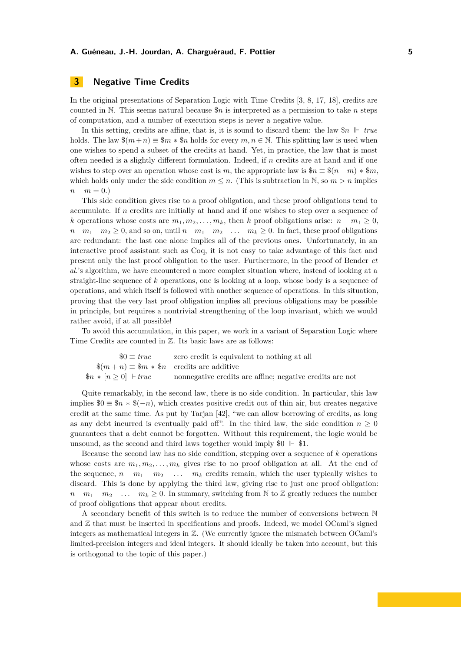# <span id="page-4-0"></span>**3 Negative Time Credits**

In the original presentations of Separation Logic with Time Credits [\[3,](#page-17-6) [8,](#page-17-3) [17,](#page-17-7) [18\]](#page-17-8), credits are counted in N. This seems natural because \$*n* is interpreted as a permission to take *n* steps of computation, and a number of execution steps is never a negative value.

In this setting, credits are affine, that is, it is sound to discard them: the law  $\Re n \Vdash true$ holds. The law  $\$(m+n) \equiv \$m * \$n$  holds for every  $m, n \in \mathbb{N}$ . This splitting law is used when one wishes to spend a subset of the credits at hand. Yet, in practice, the law that is most often needed is a slightly different formulation. Indeed, if *n* credits are at hand and if one wishes to step over an operation whose cost is *m*, the appropriate law is  $\$_{n} \equiv \$(n-m) * \$m$ , which holds only under the side condition  $m \leq n$ . (This is subtraction in N, so  $m > n$  implies  $n - m = 0.$ 

This side condition gives rise to a proof obligation, and these proof obligations tend to accumulate. If *n* credits are initially at hand and if one wishes to step over a sequence of *k* operations whose costs are  $m_1, m_2, \ldots, m_k$ , then *k* proof obligations arise:  $n - m_1 \geq 0$ ,  $n - m_1 - m_2 \geq 0$ , and so on, until  $n - m_1 - m_2 - \ldots - m_k \geq 0$ . In fact, these proof obligations are redundant: the last one alone implies all of the previous ones. Unfortunately, in an interactive proof assistant such as Coq, it is not easy to take advantage of this fact and present only the last proof obligation to the user. Furthermore, in the proof of Bender *et al.*'s algorithm, we have encountered a more complex situation where, instead of looking at a straight-line sequence of *k* operations, one is looking at a loop, whose body is a sequence of operations, and which itself is followed with another sequence of operations. In this situation, proving that the very last proof obligation implies all previous obligations may be possible in principle, but requires a nontrivial strengthening of the loop invariant, which we would rather avoid, if at all possible!

To avoid this accumulation, in this paper, we work in a variant of Separation Logic where Time Credits are counted in Z. Its basic laws are as follows:

 $$0 \equiv true$  zero credit is equivalent to nothing at all  $\$(m+n)\equiv\$m*\$n$  credits are additive \$*n* ∗ [*n* ≥ 0] *true* nonnegative credits are affine; negative credits are not

Quite remarkably, in the second law, there is no side condition. In particular, this law implies  $\$\theta \equiv \$\textit{n} * \$\textit{(-n)}$$ , which creates positive credit out of thin air, but creates negative credit at the same time. As put by Tarjan [\[42\]](#page-18-10), "we can allow borrowing of credits, as long as any debt incurred is eventually paid off". In the third law, the side condition  $n \geq 0$ guarantees that a debt cannot be forgotten. Without this requirement, the logic would be unsound, as the second and third laws together would imply  $$0 \parallel $1$ .

Because the second law has no side condition, stepping over a sequence of *k* operations whose costs are  $m_1, m_2, \ldots, m_k$  gives rise to no proof obligation at all. At the end of the sequence,  $n - m_1 - m_2 - \ldots - m_k$  credits remain, which the user typically wishes to discard. This is done by applying the third law, giving rise to just one proof obligation:  $n - m_1 - m_2 - \ldots - m_k \geq 0$ . In summary, switching from N to Z greatly reduces the number of proof obligations that appear about credits.

A secondary benefit of this switch is to reduce the number of conversions between N and Z that must be inserted in specifications and proofs. Indeed, we model OCaml's signed integers as mathematical integers in Z. (We currently ignore the mismatch between OCaml's limited-precision integers and ideal integers. It should ideally be taken into account, but this is orthogonal to the topic of this paper.)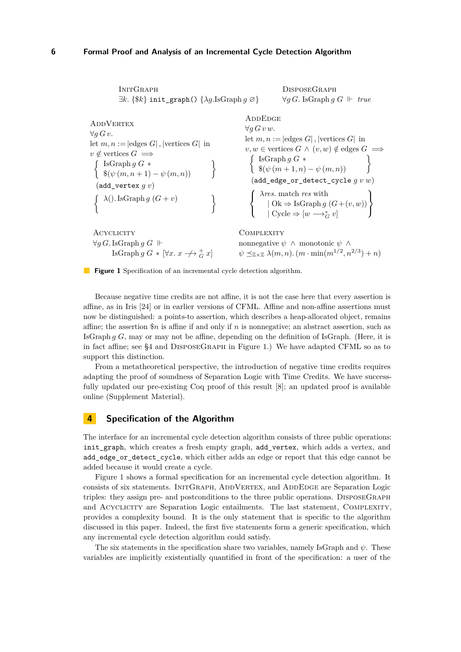```
INITGRAPH
            \exists k. {$k} init graph() {\lambda q.IsGraph q \oslash }
                                                                                      DisposeGraph
                                                                                      ∀q G. IsGraph q G ⊩ true
ADDVERTEX
∀g G v.
let m, n := |edges G|, |vertices G| in
v \notin vertices G \implies\left\{\n \begin{array}{l}\n \text{IsGraph } g \ G \ * \\
 \$(\psi(m,n+1)-\psi(m,n))\n \end{array}\n\right\}(add_vertex g v)
  f λ(). IsGraph g (G + v)
                                                      \mathcal{L}ADDEDGE
                                                                     ∀g G v w.
                                                                     let m, n := |edges G|, |vertices G| in
                                                                     v, w \in vertices G \wedge (v, w) \notin edges G \implies\left\{\n \begin{array}{l}\n \text{IsGraph } g \ G \ * \\
 \$(\psi(m+1,n)-\psi(m,n))\n \end{array}\n\right\}(add_edge_or_detect_cycle g v w)
                                                                       \sqrt{ }\left| \right|\mathcal{L}λres. match res with
                                                                               | Ok ⇒ IsGraph g (G+ (v, w))
                                                                               \mid Cycle \Rightarrow [w\longrightarrow^*_G v]\lambda\mathcal{L}\left\vert \right\vertACYCLICITY
 ∀q G.IsGraph q G ⊢IsGraph g G \ast [\forall x \colon x \to \rightarrow G^+ g x]COMPLEXITY
                                                                  nonnegative ψ ∧ monotonic ψ ∧
                                                                   \psi \preceq_{\mathbb{Z}\times\mathbb{Z}} \lambda(m,n). (m \cdot \min(m^{1/2}, n^{2/3}) + n)
```
<span id="page-5-3"></span>**Figure 1** Specification of an incremental cycle detection algorithm.

Because negative time credits are not affine, it is not the case here that every assertion is affine, as in Iris [\[24\]](#page-18-11) or in earlier versions of CFML. Affine and non-affine assertions must now be distinguished: a points-to assertion, which describes a heap-allocated object, remains affine; the assertion \$*n* is affine if and only if *n* is nonnegative; an abstract assertion, such as IsGraph *g G*, may or may not be affine, depending on the definition of IsGraph. (Here, it is in fact affine; see [§4](#page-5-1) and [DisposeGraph](#page-5-2) in Figure [1.](#page-5-0)) We have adapted CFML so as to support this distinction.

From a metatheoretical perspective, the introduction of negative time credits requires adapting the proof of soundness of Separation Logic with Time Credits. We have successfully updated our pre-existing Coq proof of this result [\[8\]](#page-17-3); an updated proof is available online (Supplement Material).

# <span id="page-5-1"></span>**4 Specification of the Algorithm**

The interface for an incremental cycle detection algorithm consists of three public operations: init\_graph, which creates a fresh empty graph, add\_vertex, which adds a vertex, and add\_edge\_or\_detect\_cycle, which either adds an edge or report that this edge cannot be added because it would create a cycle.

Figure [1](#page-5-0) shows a formal specification for an incremental cycle detection algorithm. It consists of six statements. INITGRAPH, ADDVERTEX, and ADDEDGE are Separation Logic triples: they assign pre- and postconditions to the three public operations. [DisposeGraph](#page-5-2) and ACYCLICITY are Separation Logic entailments. The last statement, COMPLEXITY, provides a complexity bound. It is the only statement that is specific to the algorithm discussed in this paper. Indeed, the first five statements form a generic specification, which any incremental cycle detection algorithm could satisfy.

The six statements in the specification share two variables, namely IsGraph and *ψ*. These variables are implicitly existentially quantified in front of the specification: a user of the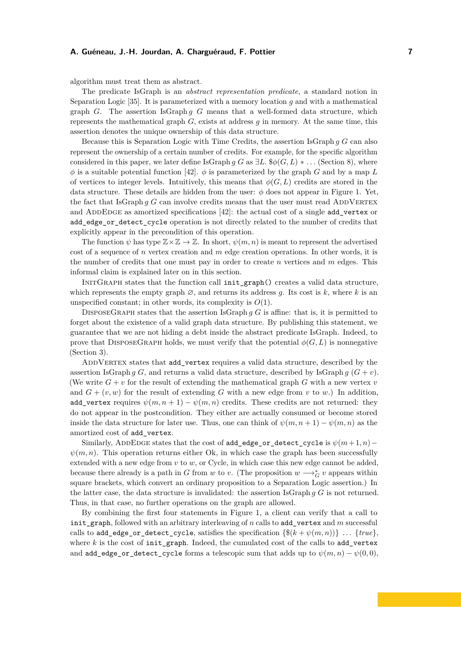algorithm must treat them as abstract.

The predicate IsGraph is an *abstract representation predicate*, a standard notion in Separation Logic [\[35\]](#page-18-12). It is parameterized with a memory location *g* and with a mathematical graph *G*. The assertion IsGraph *g G* means that a well-formed data structure, which represents the mathematical graph *G*, exists at address *g* in memory. At the same time, this assertion denotes the unique ownership of this data structure.

Because this is Separation Logic with Time Credits, the assertion IsGraph *g G* can also represent the ownership of a certain number of credits. For example, for the specific algorithm considered in this paper, we later define IsGraph *g G* as  $\exists L.$  \$ $\phi(G, L) * \dots$  (Section [8\)](#page-11-0), where  $\phi$  is a suitable potential function [\[42\]](#page-18-10).  $\phi$  is parameterized by the graph *G* and by a map *L* of vertices to integer levels. Intuitively, this means that  $\phi(G, L)$  credits are stored in the data structure. These details are hidden from the user:  $\phi$  does not appear in Figure [1.](#page-5-0) Yet, the fact that IsGraph  $g$  G can involve credits means that the user must read ADDVERTEX and ADDEDGE as amortized specifications [\[42\]](#page-18-10): the actual cost of a single add\_vertex or add\_edge\_or\_detect\_cycle operation is not directly related to the number of credits that explicitly appear in the precondition of this operation.

The function  $\psi$  has type  $\mathbb{Z}\times\mathbb{Z}\to\mathbb{Z}$ . In short,  $\psi(m,n)$  is meant to represent the advertised cost of a sequence of *n* vertex creation and *m* edge creation operations. In other words, it is the number of credits that one must pay in order to create *n* vertices and *m* edges. This informal claim is explained later on in this section.

INITGRAPH states that the function call init graph() creates a valid data structure, which represents the empty graph  $\varnothing$ , and returns its address g. Its cost is k, where k is an unspecified constant; in other words, its complexity is *O*(1).

DISPOSEGRAPH states that the assertion IsGraph *g G* is affine: that is, it is permitted to forget about the existence of a valid graph data structure. By publishing this statement, we guarantee that we are not hiding a debt inside the abstract predicate IsGraph. Indeed, to prove that DISPOSEGRAPH holds, we must verify that the potential  $\phi(G, L)$  is nonnegative (Section [3\)](#page-4-0).

ADDVERTEX states that add vertex requires a valid data structure, described by the assertion IsGraph *g G*, and returns a valid data structure, described by IsGraph *g*  $(G + v)$ . (We write  $G + v$  for the result of extending the mathematical graph  $G$  with a new vertex  $v$ and  $G + (v, w)$  for the result of extending G with a new edge from v to w.) In addition, add\_vertex requires  $\psi(m, n + 1) - \psi(m, n)$  credits. These credits are not returned: they do not appear in the postcondition. They either are actually consumed or become stored inside the data structure for later use. Thus, one can think of  $\psi(m, n+1) - \psi(m, n)$  as the amortized cost of add\_vertex.

Similarly, ADDEDGE states that the cost of add\_edge\_or\_detect\_cycle is  $\psi(m+1, n)$ −  $\psi(m, n)$ . This operation returns either Ok, in which case the graph has been successfully extended with a new edge from *v* to *w*, or Cycle, in which case this new edge cannot be added, because there already is a path in *G* from *w* to *v*. (The proposition  $w \rightarrow_G^* v$  appears within square brackets, which convert an ordinary proposition to a Separation Logic assertion.) In the latter case, the data structure is invalidated: the assertion IsGraph *g G* is not returned. Thus, in that case, no further operations on the graph are allowed.

By combining the first four statements in Figure [1,](#page-5-0) a client can verify that a call to init\_graph, followed with an arbitrary interleaving of *n* calls to add\_vertex and *m* successful calls to add\_edge\_or\_detect\_cycle, satisfies the specification  $\{\$(k + \psi(m, n))\}$  ...  $\{true\},$ where  $k$  is the cost of init graph. Indeed, the cumulated cost of the calls to add vertex and add\_edge\_or\_detect\_cycle forms a telescopic sum that adds up to  $\psi(m,n) - \psi(0,0)$ ,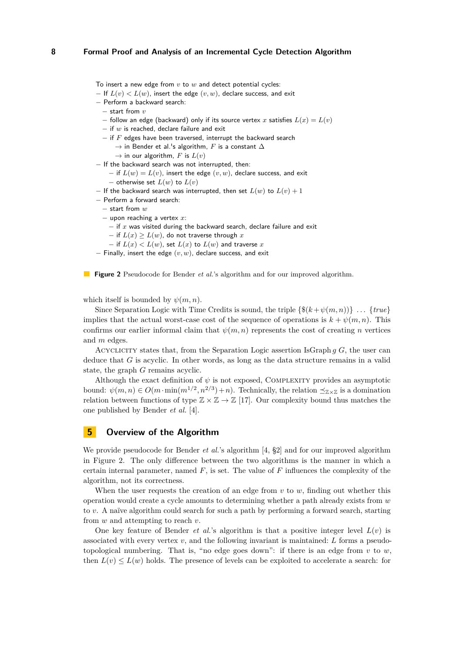<span id="page-7-0"></span>To insert a new edge from *v* to *w* and detect potential cycles:

- $-$  If  $L(v) < L(w)$ , insert the edge  $(v, w)$ , declare success, and exit
- − Perform a backward search:
	- − start from *v*
	- − follow an edge (backward) only if its source vertex *x* satisfies *L*(*x*) = *L*(*v*)
	- − if *w* is reached, declare failure and exit
	- − if *F* edges have been traversed, interrupt the backward search
		- $\rightarrow$  in Bender et al.'s algorithm,  $F$  is a constant  $\Delta$
		- $\rightarrow$  in our algorithm, *F* is  $L(v)$
- − If the backward search was not interrupted, then:
	- $-$  if  $L(w) = L(v)$ , insert the edge  $(v, w)$ , declare success, and exit − otherwise set *L*(*w*) to *L*(*v*)
- $-$  If the backward search was interrupted, then set  $L(w)$  to  $L(v) + 1$
- − Perform a forward search:
	- − start from *w*
	- − upon reaching a vertex *x*:
		- − if *x* was visited during the backward search, declare failure and exit
		- $-$  if  $L(x) \geq L(w)$ , do not traverse through x
	- $-$  if  $L(x) < L(w)$ , set  $L(x)$  to  $L(w)$  and traverse  $x$
- − Finally, insert the edge (*v, w*), declare success, and exit

**Figure 2** Pseudocode for Bender *et al.*'s algorithm and for our improved algorithm.

which itself is bounded by  $\psi(m, n)$ .

Since Separation Logic with Time Credits is sound, the triple  $\{\$(k + \psi(m, n))\}$ ...  $\{true\}$ implies that the actual worst-case cost of the sequence of operations is  $k + \psi(m, n)$ . This confirms our earlier informal claim that  $\psi(m, n)$  represents the cost of creating *n* vertices and *m* edges.

[Acyclicity](#page-5-3) states that, from the Separation Logic assertion IsGraph *g G*, the user can deduce that *G* is acyclic. In other words, as long as the data structure remains in a valid state, the graph *G* remains acyclic.

Although the exact definition of  $\psi$  is not exposed, COMPLEXITY provides an asymptotic bound:  $\psi(m, n) \in O(m \cdot \min(m^{1/2}, n^{2/3}) + n)$ . Technically, the relation  $\preceq_{\mathbb{Z} \times \mathbb{Z}}$  is a domination relation between functions of type  $\mathbb{Z} \times \mathbb{Z} \to \mathbb{Z}$  [\[17\]](#page-17-7). Our complexity bound thus matches the one published by Bender *et al.* [\[4\]](#page-17-9).

# **5 Overview of the Algorithm**

We provide pseudocode for Bender *et al.*'s algorithm [\[4,](#page-17-9) §2] and for our improved algorithm in Figure [2.](#page-7-0) The only difference between the two algorithms is the manner in which a certain internal parameter, named *F*, is set. The value of *F* influences the complexity of the algorithm, not its correctness.

When the user requests the creation of an edge from *v* to *w*, finding out whether this operation would create a cycle amounts to determining whether a path already exists from *w* to *v*. A naïve algorithm could search for such a path by performing a forward search, starting from *w* and attempting to reach *v*.

One key feature of Bender *et al.*'s algorithm is that a positive integer level  $L(v)$  is associated with every vertex *v*, and the following invariant is maintained: *L* forms a pseudotopological numbering. That is, "no edge goes down": if there is an edge from  $v$  to  $w$ , then  $L(v) \leq L(w)$  holds. The presence of levels can be exploited to accelerate a search: for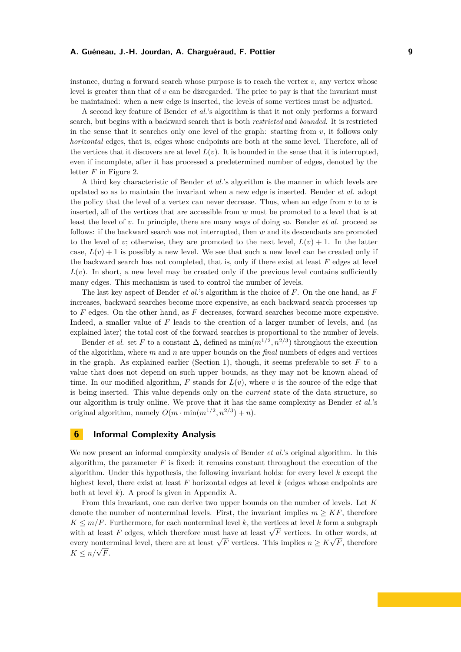instance, during a forward search whose purpose is to reach the vertex  $v$ , any vertex whose level is greater than that of  $v$  can be disregarded. The price to pay is that the invariant must be maintained: when a new edge is inserted, the levels of some vertices must be adjusted.

A second key feature of Bender *et al.*'s algorithm is that it not only performs a forward search, but begins with a backward search that is both *restricted* and *bounded*. It is restricted in the sense that it searches only one level of the graph: starting from  $v$ , it follows only *horizontal* edges, that is, edges whose endpoints are both at the same level. Therefore, all of the vertices that it discovers are at level  $L(v)$ . It is bounded in the sense that it is interrupted, even if incomplete, after it has processed a predetermined number of edges, denoted by the letter *F* in Figure [2.](#page-7-0)

A third key characteristic of Bender *et al.*'s algorithm is the manner in which levels are updated so as to maintain the invariant when a new edge is inserted. Bender *et al.* adopt the policy that the level of a vertex can never decrease. Thus, when an edge from *v* to *w* is inserted, all of the vertices that are accessible from *w* must be promoted to a level that is at least the level of *v*. In principle, there are many ways of doing so. Bender *et al.* proceed as follows: if the backward search was not interrupted, then *w* and its descendants are promoted to the level of *v*; otherwise, they are promoted to the next level,  $L(v) + 1$ . In the latter case,  $L(v) + 1$  is possibly a new level. We see that such a new level can be created only if the backward search has not completed, that is, only if there exist at least *F* edges at level  $L(v)$ . In short, a new level may be created only if the previous level contains sufficiently many edges. This mechanism is used to control the number of levels.

The last key aspect of Bender *et al.*'s algorithm is the choice of *F*. On the one hand, as *F* increases, backward searches become more expensive, as each backward search processes up to *F* edges. On the other hand, as *F* decreases, forward searches become more expensive. Indeed, a smaller value of *F* leads to the creation of a larger number of levels, and (as explained later) the total cost of the forward searches is proportional to the number of levels.

Bender *et al.* set *F* to a constant  $\Delta$ , defined as  $\min(m^{1/2}, n^{2/3})$  throughout the execution of the algorithm, where *m* and *n* are upper bounds on the *final* numbers of edges and vertices in the graph. As explained earlier (Section [1\)](#page-0-0), though, it seems preferable to set  $F$  to a value that does not depend on such upper bounds, as they may not be known ahead of time. In our modified algorithm,  $F$  stands for  $L(v)$ , where  $v$  is the source of the edge that is being inserted. This value depends only on the *current* state of the data structure, so our algorithm is truly online. We prove that it has the same complexity as Bender *et al.*'s original algorithm, namely  $O(m \cdot \min(m^{1/2}, n^{2/3}) + n)$ .

# <span id="page-8-0"></span>**6 Informal Complexity Analysis**

We now present an informal complexity analysis of Bender *et al.*'s original algorithm. In this algorithm, the parameter  $F$  is fixed: it remains constant throughout the execution of the algorithm. Under this hypothesis, the following invariant holds: for every level *k* except the highest level, there exist at least *F* horizontal edges at level *k* (edges whose endpoints are both at level *k*). A proof is given in Appendix [A.](#page-19-2)

From this invariant, one can derive two upper bounds on the number of levels. Let *K* denote the number of nonterminal levels. First, the invariant implies  $m \geq K$ , therefore  $K \leq m/F$ . Furthermore, for each nonterminal level *k*, the vertices at level *k* form a subgraph  $K \leq m/F$ . Furthermore, for each nonterminal level  $\kappa$ , the vertices at level  $\kappa$  form a subgraph with at least *F* edges, which therefore must have at least  $\sqrt{F}$  vertices. In other words, at with at least r edges, which therefore must have at least  $\sqrt{r}$  vertices. In other words, at every nonterminal level, there are at least  $\sqrt{F}$  vertices. This implies  $n \geq K \sqrt{F}$ , therefore  $K \leq n/\sqrt{F}$ .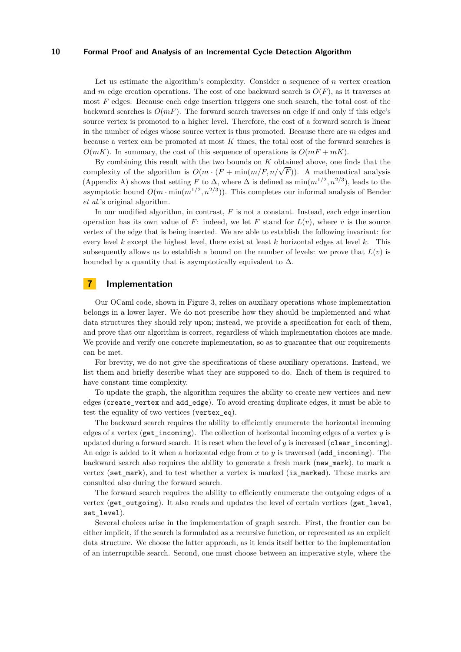Let us estimate the algorithm's complexity. Consider a sequence of *n* vertex creation and *m* edge creation operations. The cost of one backward search is  $O(F)$ , as it traverses at most *F* edges. Because each edge insertion triggers one such search, the total cost of the backward searches is  $O(mF)$ . The forward search traverses an edge if and only if this edge's source vertex is promoted to a higher level. Therefore, the cost of a forward search is linear in the number of edges whose source vertex is thus promoted. Because there are *m* edges and because a vertex can be promoted at most *K* times, the total cost of the forward searches is  $O(mK)$ . In summary, the cost of this sequence of operations is  $O(mF + mK)$ .

By combining this result with the two bounds on *K* obtained above, one finds that the by combining this result with the two bounds on  $K$  obtained above, one mas that the complexity of the algorithm is  $O(m \cdot (F + \min(m/F, n/\sqrt{F}))$ . A mathematical analysis (Appendix [A\)](#page-19-2) shows that setting *F* to  $\Delta$ , where  $\Delta$  is defined as  $\min(m^{1/2}, n^{2/3})$ , leads to the asymptotic bound  $O(m \cdot \min(m^{1/2}, n^{2/3}))$ . This completes our informal analysis of Bender *et al.*'s original algorithm.

In our modified algorithm, in contrast, *F* is not a constant. Instead, each edge insertion operation has its own value of  $F$ : indeed, we let  $F$  stand for  $L(v)$ , where  $v$  is the source vertex of the edge that is being inserted. We are able to establish the following invariant: for every level *k* except the highest level, there exist at least *k* horizontal edges at level *k*. This subsequently allows us to establish a bound on the number of levels: we prove that  $L(v)$  is bounded by a quantity that is asymptotically equivalent to  $\Delta$ .

# **7 Implementation**

Our OCaml code, shown in Figure [3,](#page-10-0) relies on auxiliary operations whose implementation belongs in a lower layer. We do not prescribe how they should be implemented and what data structures they should rely upon; instead, we provide a specification for each of them, and prove that our algorithm is correct, regardless of which implementation choices are made. We provide and verify one concrete implementation, so as to guarantee that our requirements can be met.

For brevity, we do not give the specifications of these auxiliary operations. Instead, we list them and briefly describe what they are supposed to do. Each of them is required to have constant time complexity.

To update the graph, the algorithm requires the ability to create new vertices and new edges (create\_vertex and add\_edge). To avoid creating duplicate edges, it must be able to test the equality of two vertices (vertex\_eq).

The backward search requires the ability to efficiently enumerate the horizontal incoming edges of a vertex (get\_incoming). The collection of horizontal incoming edges of a vertex *y* is updated during a forward search. It is reset when the level of *y* is increased (clear\_incoming). An edge is added to it when a horizontal edge from *x* to *y* is traversed (add\_incoming). The backward search also requires the ability to generate a fresh mark (new\_mark), to mark a vertex (set\_mark), and to test whether a vertex is marked (is\_marked). These marks are consulted also during the forward search.

The forward search requires the ability to efficiently enumerate the outgoing edges of a vertex (get\_outgoing). It also reads and updates the level of certain vertices (get\_level, set level).

Several choices arise in the implementation of graph search. First, the frontier can be either implicit, if the search is formulated as a recursive function, or represented as an explicit data structure. We choose the latter approach, as it lends itself better to the implementation of an interruptible search. Second, one must choose between an imperative style, where the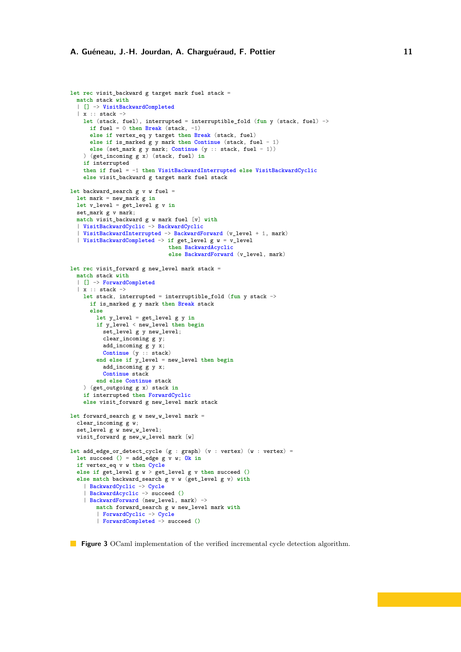```
let rec visit_backward g target mark fuel stack =
  match stack with
  | [] -> VisitBackwardCompleted
  \vert x :: stack \rightarrowlet (stack, fuel), interrupted = interruptible_fold (fun y (stack, fuel) ->
      if fuel = 0 then Break (stack, -1)
      else if vertex_eq y target then Break (stack, fuel)
      else if is_marked g y mark then Continue (stack, fuel - 1)
      else (set_mark g y mark; Continue (y :: stack, fuel - 1))
    ) (get_incoming g x) (stack, fuel) in
    if interrupted
    then if fuel = -1 then VisitBackwardInterrupted else VisitBackwardCyclic
    else visit_backward g target mark fuel stack
let backward_search g v w fuel =
 let mark = new_mark g in
  let v_level = get_level g v in
  set_mark g v mark;
  match visit_backward g w mark fuel [v] with
  | VisitBackwardCyclic -> BackwardCyclic
  | VisitBackwardInterrupted -> BackwardForward (v_level + 1, mark)
  | VisitBackwardCompleted -> if get_level g w = v_level
                              then BackwardAcyclic
                              else BackwardForward (v_level, mark)
let rec visit_forward g new_level mark stack =
  match stack with
  | [] -> ForwardCompleted
  \vert x \vert: stack \rightarrowlet stack, interrupted = interruptible_fold (fun y stack ->
      if is_marked g y mark then Break stack
      else
        let y_level = get_level g y in
        if y_level < new_level then begin
          set_level g y new_level;
          clear_incoming g y;
          add_incoming g y x;
          Continue (y :: stack)
        end else if y_level = new_level then begin
          add_incoming g y x;
          Continue stack
        end else Continue stack
    ) (get_outgoing g x) stack in
    if interrupted then ForwardCyclic
    else visit_forward g new_level mark stack
let forward_search g w new_w_level mark =
  clear_incoming g w;
  set_level g w new_w_level;
  visit_forward g new_w_level mark [w]
let add_edge_or_detect_cycle (g : graph) (v : vertex) (w : vertex) =
  let succeed () = add_edge g v w; Ok in
  if vertex_eq v w then Cycle
  else if get_level g w > get_level g v then succeed ()
  else match backward_search g v w (get_level g v) with
    | BackwardCyclic -> Cycle
      | BackwardAcyclic -> succeed ()
    | BackwardForward (new_level, mark) ->
        match forward_search g w new_level mark with
        | ForwardCyclic -> Cycle
        | ForwardCompleted -> succeed ()
```
**Figure 3** OCaml implementation of the verified incremental cycle detection algorithm.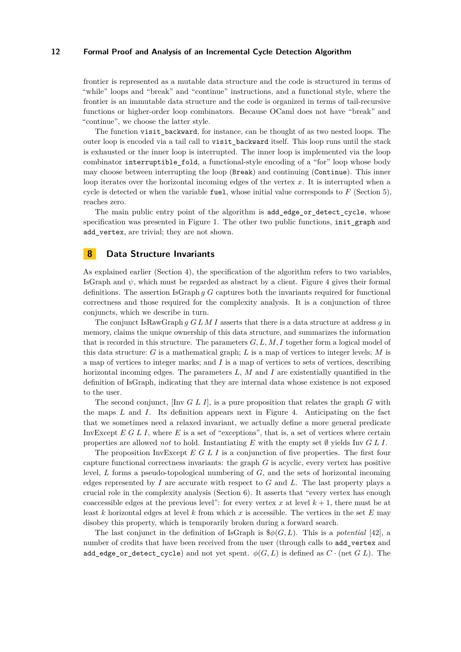frontier is represented as a mutable data structure and the code is structured in terms of "while" loops and "break" and "continue" instructions, and a functional style, where the frontier is an immutable data structure and the code is organized in terms of tail-recursive functions or higher-order loop combinators. Because OCaml does not have "break" and "continue", we choose the latter style.

The function visit backward, for instance, can be thought of as two nested loops. The outer loop is encoded via a tail call to visit\_backward itself. This loop runs until the stack is exhausted or the inner loop is interrupted. The inner loop is implemented via the loop combinator interruptible\_fold, a functional-style encoding of a "for" loop whose body may choose between interrupting the loop (Break) and continuing (Continue). This inner loop iterates over the horizontal incoming edges of the vertex *x*. It is interrupted when a cycle is detected or when the variable fuel, whose initial value corresponds to  $F$  (Section [5\)](#page-7-0), reaches zero.

The main public entry point of the algorithm is add\_edge\_or\_detect\_cycle, whose specification was presented in Figure [1.](#page-5-0) The other two public functions, init\_graph and add\_vertex, are trivial; they are not shown.

# <span id="page-11-0"></span>**8 Data Structure Invariants**

As explained earlier (Section [4\)](#page-5-1), the specification of the algorithm refers to two variables, IsGraph and  $\psi$ , which must be regarded as abstract by a client. Figure [4](#page-12-0) gives their formal definitions. The assertion IsGraph *g G* captures both the invariants required for functional correctness and those required for the complexity analysis. It is a conjunction of three conjuncts, which we describe in turn.

The conjunct IsRawGraph *g G L M I* asserts that there is a data structure at address *g* in memory, claims the unique ownership of this data structure, and summarizes the information that is recorded in this structure. The parameters *G, L, M, I* together form a logical model of this data structure: *G* is a mathematical graph; *L* is a map of vertices to integer levels; *M* is a map of vertices to integer marks; and *I* is a map of vertices to sets of vertices, describing horizontal incoming edges. The parameters *L*, *M* and *I* are existentially quantified in the definition of IsGraph, indicating that they are internal data whose existence is not exposed to the user.

The second conjunct, [Inv *G L I*], is a pure proposition that relates the graph *G* with the maps *L* and *I*. Its definition appears next in Figure [4.](#page-12-0) Anticipating on the fact that we sometimes need a relaxed invariant, we actually define a more general predicate InvExcept *E G L I*, where *E* is a set of "exceptions", that is, a set of vertices where certain properties are allowed *not* to hold. Instantiating *E* with the empty set  $\emptyset$  yields Inv *G L I*.

The proposition InvExcept *E G L I* is a conjunction of five properties. The first four capture functional correctness invariants: the graph *G* is acyclic, every vertex has positive level, *L* forms a pseudo-topological numbering of *G*, and the sets of horizontal incoming edges represented by *I* are accurate with respect to *G* and *L*. The last property plays a crucial role in the complexity analysis (Section [6\)](#page-8-0). It asserts that "every vertex has enough coaccessible edges at the previous level": for every vertex  $x$  at level  $k + 1$ , there must be at least *k* horizontal edges at level *k* from which *x* is accessible. The vertices in the set *E* may disobey this property, which is temporarily broken during a forward search.

The last conjunct in the definition of IsGraph is \$*φ*(*G, L*). This is a *potential* [\[42\]](#page-18-10), a number of credits that have been received from the user (through calls to add\_vertex and add\_edge\_or\_detect\_cycle) and not yet spent.  $\phi(G, L)$  is defined as  $C \cdot$  (net  $G L$ ). The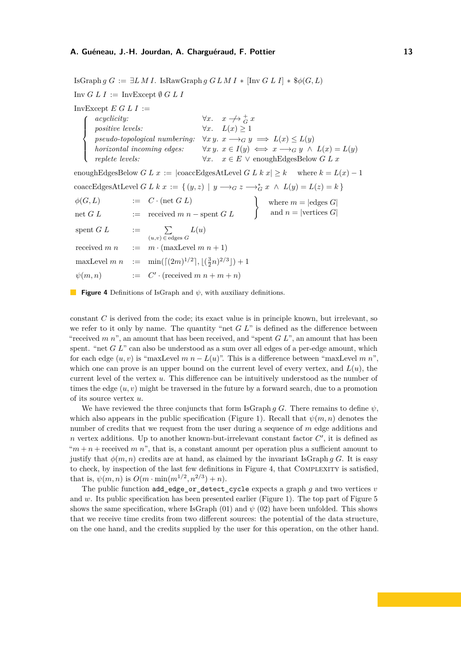<span id="page-12-0"></span>IsGraph *g G* := ∃*L M I.* IsRawGraph *g G L M I* ∗ [Inv *G L I*] ∗ \$*φ*(*G, L*) Inv  $G L I := \text{InvException } \emptyset G L I$ InvExcept  $E G L I :=$  $\sqrt{ }$  $\int$  $\overline{\mathcal{L}}$ *acyclicity:*  $\forall x. \quad x \rightarrow \rightarrow \frac{1}{G}x$ *positive levels:*  $\forall x. \quad L(x) \geq 1$ *pseudo-topological numbering:*  $\forall x \ y. \ x \rightarrow_G y \implies L(x) \leq L(y)$ *horizontal incoming edges:*  $\forall x \ y. \ x \in I(y) \iff x \longrightarrow_G y \land L(x) = L(y)$  $\forall x.$  *x* ∈ *E* ∨ enoughEdgesBelow *G L x* enoughEdgesBelow *G L x* :=  $|{\rm coaccEdgesAtLevel}~G~L~k~x| \geq k$  where  $k = L(x) - 1$ coaccEdgesAtLevel *G L k x* := {  $(y, z)$  |  $y \rightarrow_G z \rightarrow_G^* x \land L(y) = L(z) = k$  }  $φ(G, L)$  := *C* · (net *G L*)
<br>
net *G L* := received *m n* – spent *G L* )
and *n* = |vertices *G*| and  $n = |\text{vertices } G|$ spent *G L*  $:=$   $\sum$ (*u,v*) ∈ edges *G L*(*u*) received  $m n$  :=  $m \cdot (maxLevel m n + 1)$  $maxLevel \, m \, n \quad := \quad min(\lceil (2m)^{1/2} \rceil, \lfloor (\frac{3}{2}n)^{2/3} \rfloor) + 1$  $\psi(m,n)$  $\cdot$  (received  $m n + m + n$ )

#### **Figure 4** Definitions of IsGraph and *ψ*, with auxiliary definitions.

constant *C* is derived from the code; its exact value is in principle known, but irrelevant, so we refer to it only by name. The quantity "net *G L*" is defined as the difference between "received *m n*", an amount that has been received, and "spent *G L*", an amount that has been spent. "net *G L*" can also be understood as a sum over all edges of a per-edge amount, which for each edge  $(u, v)$  is "maxLevel  $m n - L(u)$ ". This is a difference between "maxLevel  $m n$ ". which one can prove is an upper bound on the current level of every vertex, and  $L(u)$ , the current level of the vertex *u*. This difference can be intuitively understood as the number of times the edge  $(u, v)$  might be traversed in the future by a forward search, due to a promotion of its source vertex *u*.

We have reviewed the three conjuncts that form IsGraph *q G*. There remains to define  $\psi$ , which also appears in the public specification (Figure [1\)](#page-5-0). Recall that  $\psi(m, n)$  denotes the number of credits that we request from the user during a sequence of *m* edge additions and *n* vertex additions. Up to another known-but-irrelevant constant factor  $C'$ , it is defined as " $m + n$  + received  $m$  n", that is, a constant amount per operation plus a sufficient amount to justify that  $\phi(m, n)$  credits are at hand, as claimed by the invariant IsGraph *q G*. It is easy to check, by inspection of the last few definitions in Figure [4,](#page-12-0) that [Complexity](#page-5-2) is satisfied, that is,  $\psi(m, n)$  is  $O(m \cdot \min(m^{1/2}, n^{2/3}) + n)$ .

The public function add\_edge\_or\_detect\_cycle expects a graph *g* and two vertices *v* and w. Its public specification has been presented earlier (Figure [1\)](#page-5-0). The top part of Figure [5](#page-13-0) shows the same specification, where IsGraph  $(01)$  and  $\psi$   $(02)$  have been unfolded. This shows that we receive time credits from two different sources: the potential of the data structure, on the one hand, and the credits supplied by the user for this operation, on the other hand.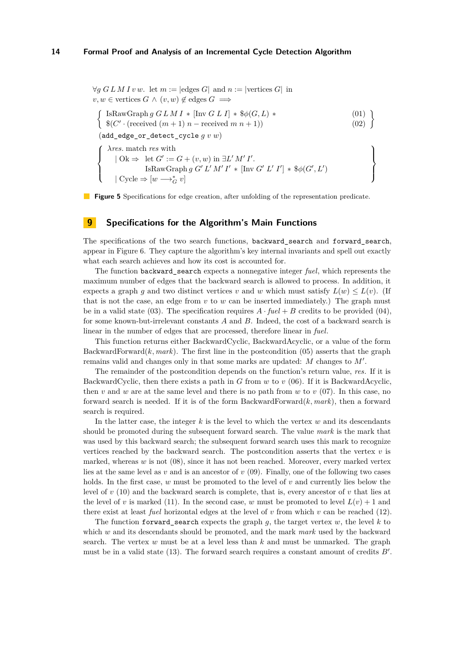<span id="page-13-2"></span><span id="page-13-1"></span><span id="page-13-0"></span> $\forall q \ G L M I v w.$  let  $m := |\text{edges } G|$  and  $n := |\text{vertices } G|$  in  $v, w \in$  vertices  $G \wedge (v, w) \notin$  edges  $G \implies$  $\int$  IsRawGraph *g G L M I* \* [Inv *G L I*] \* \$ $\phi(G, L)$  \* (01)  $$(C' \cdot (received (m + 1) n - received m n + 1))$  (02)  $\lambda$ (add\_edge\_or\_detect\_cycle *g v w*)  $\sqrt{ }$  $\int$  $\overline{\mathcal{L}}$ *λres.* match *res* with  $\log \Theta$  let  $G' := G + (v, w)$  in  $\exists L' M' I'.$  $\text{IsRawGraph } g \ G' L' M' I' * [\text{Inv } G' L' I'] * \$\phi(G', L')$  $\mid$  Cycle  $\Rightarrow$   $[w\longrightarrow^*_G v]$  $\mathcal{L}$  $\overline{\mathcal{L}}$  $\int$ 

**Figure 5** Specifications for edge creation, after unfolding of the representation predicate.

# **9 Specifications for the Algorithm's Main Functions**

The specifications of the two search functions, backward\_search and forward\_search, appear in Figure [6.](#page-14-0) They capture the algorithm's key internal invariants and spell out exactly what each search achieves and how its cost is accounted for.

The function backward\_search expects a nonnegative integer *fuel*, which represents the maximum number of edges that the backward search is allowed to process. In addition, it expects a graph *g* and two distinct vertices *v* and *w* which must satisfy  $L(w) \leq L(v)$ . (If that is not the case, an edge from  $v$  to  $w$  can be inserted immediately.) The graph must be in a valid state [\(03\)](#page-14-1). The specification requires  $A \cdot \text{fuel} + B$  credits to be provided [\(04\)](#page-14-2), for some known-but-irrelevant constants *A* and *B*. Indeed, the cost of a backward search is linear in the number of edges that are processed, therefore linear in *fuel*.

This function returns either BackwardCyclic, BackwardAcyclic, or a value of the form BackwardForward $(k, mark)$ . The first line in the postcondition  $(05)$  asserts that the graph remains valid and changes only in that some marks are updated:  $M$  changes to  $M'$ .

The remainder of the postcondition depends on the function's return value, *res*. If it is BackwardCyclic, then there exists a path in *G* from *w* to *v* [\(06\)](#page-14-4). If it is BackwardAcyclic, then *v* and *w* are at the same level and there is no path from *w* to *v* [\(07\)](#page-14-5). In this case, no forward search is needed. If it is of the form BackwardForward(*k, mark*), then a forward search is required.

In the latter case, the integer *k* is the level to which the vertex *w* and its descendants should be promoted during the subsequent forward search. The value *mark* is the mark that was used by this backward search; the subsequent forward search uses this mark to recognize vertices reached by the backward search. The postcondition asserts that the vertex *v* is marked, whereas *w* is not [\(08\)](#page-14-6), since it has not been reached. Moreover, every marked vertex lies at the same level as *v* and is an ancestor of *v* [\(09\)](#page-14-7). Finally, one of the following two cases holds. In the first case, *w* must be promoted to the level of *v* and currently lies below the level of *v* [\(10\)](#page-14-8) and the backward search is complete, that is, every ancestor of *v* that lies at the level of *v* is marked [\(11\)](#page-14-9). In the second case, *w* must be promoted to level  $L(v) + 1$  and there exist at least *fuel* horizontal edges at the level of *v* from which *v* can be reached [\(12\)](#page-14-10).

The function forward search expects the graph  $q$ , the target vertex  $w$ , the level  $k$  to which *w* and its descendants should be promoted, and the mark *mark* used by the backward search. The vertex *w* must be at a level less than *k* and must be unmarked. The graph must be in a valid state  $(13)$ . The forward search requires a constant amount of credits  $B'$ .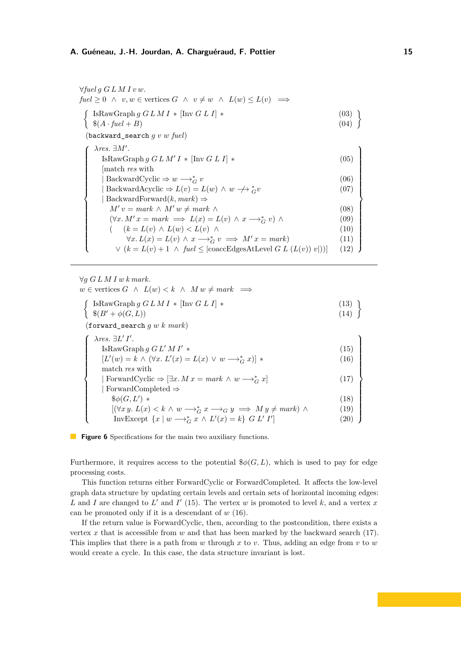<span id="page-14-3"></span><span id="page-14-2"></span><span id="page-14-1"></span><span id="page-14-0"></span>∀*fuel g G L M I v w.*  $fuel \geq 0 \land v, w \in \text{vertices } G \land v \neq w \land L(w) \leq L(v) \implies$  $\int$  IsRawGraph *g G L M I*  $\ast$  [Inv *G L I*]  $\ast$  (03)  $\{8(A \cdot \text{fuel} + B)$  (04)  $\mathcal{L}$ (backward\_search *g v w fuel*)  $\sqrt{ }$  $\begin{array}{c} \hline \end{array}$  $\begin{array}{c} \hline \end{array}$ *λres.* ∃*M*<sup>0</sup> *.*  $\text{IsRawGraph } g \ G \ L \ M' \ I \ * \ [\text{Inv } G \ L \ I] \ *$  (05) [match *res* with | BackwardCyclic  $\Rightarrow$  *w*  $\longrightarrow_G^*$  *v*  $G \, v \tag{06}$  $|$  BackwardAcyclic  $\Rightarrow$   $L(v) = L(w) \land w \nrightarrow_{G} v$  $(07)$ | BackwardForward(*k, mark*) ⇒  $M'v = mark \wedge M'w \neq mark \wedge$  (08)  $(\forall x. M' x = mark \implies L(x) = L(v) \land x \longrightarrow_G^* v) \land$  (09) (  $(k = L(v) \land L(w) < L(v) \land$  (10)  $\forall x \, L(x) = L(v) \land x \longrightarrow_G^* v \implies M'x = mark)$  (11)  $∨ (k = L(v) + 1 ∧ \text{ fuel ≤ } | \text{coaccEdgesAtLevel } G L (L(v)) v |))]$  (12)  $\lambda$  $\begin{array}{c} \hline \end{array}$  $\begin{array}{c} \hline \end{array}$ 

<span id="page-14-7"></span><span id="page-14-6"></span><span id="page-14-5"></span><span id="page-14-4"></span> $∀q G L M I w k mark.$ 

 $\sqrt{ }$ 

 $\begin{array}{c} \hline \end{array}$ 

<span id="page-14-17"></span><span id="page-14-16"></span> $\begin{array}{c} \hline \end{array}$ 

 $w \in$  vertices  $G \land L(w) < k \land M w \neq mark \implies$ 

<span id="page-14-9"></span><span id="page-14-8"></span> $\int$  IsRawGraph *g G L M I* \* [Inv *G L I*] \* (13)  $\binom{8}{B'} + \phi(G, L)$  (14)  $\mathcal{L}$ 

(forward\_search *g w k mark*)

<span id="page-14-15"></span><span id="page-14-14"></span><span id="page-14-13"></span><span id="page-14-12"></span><span id="page-14-11"></span><span id="page-14-10"></span>

| $\lambda$ res. $\exists L' I'.$                                                                        |      |
|--------------------------------------------------------------------------------------------------------|------|
| IsRawGraph $g G L'M I' *$                                                                              | (15) |
| $[L'(w) = k \wedge (\forall x. L'(x) = L(x) \vee w \longrightarrow_{C}^{*} x)]$                        | (16) |
| match res with                                                                                         |      |
| ForwardCyclic $\Rightarrow$ $[\exists x. M x = mark \wedge w \rightarrow_G^* x]$                       | (17) |
| ForwardCompleted $\Rightarrow$                                                                         |      |
| $\$\phi(G,L')$ *                                                                                       | (18) |
| $[(\forall x \, y. \, L(x) < k \land w \rightarrow_G^* x \rightarrow_G y \implies My \neq mark) \land$ | (19) |
| InvExcept $\{x \mid w \longrightarrow_G^* x \land L'(x) = k\}$ G L' I'                                 | 20   |

#### **Figure 6** Specifications for the main two auxiliary functions.

Furthermore, it requires access to the potential  $\phi(G, L)$ , which is used to pay for edge processing costs.

This function returns either ForwardCyclic or ForwardCompleted. It affects the low-level graph data structure by updating certain levels and certain sets of horizontal incoming edges: L and I are changed to  $L'$  and  $I'$  [\(15\)](#page-14-12). The vertex  $w$  is promoted to level  $k$ , and a vertex  $x$ can be promoted only if it is a descendant of *w* [\(16\)](#page-14-13).

If the return value is ForwardCyclic, then, according to the postcondition, there exists a vertex *x* that is accessible from *w* and that has been marked by the backward search [\(17\)](#page-14-14). This implies that there is a path from *w* through *x* to *v*. Thus, adding an edge from *v* to *w* would create a cycle. In this case, the data structure invariant is lost.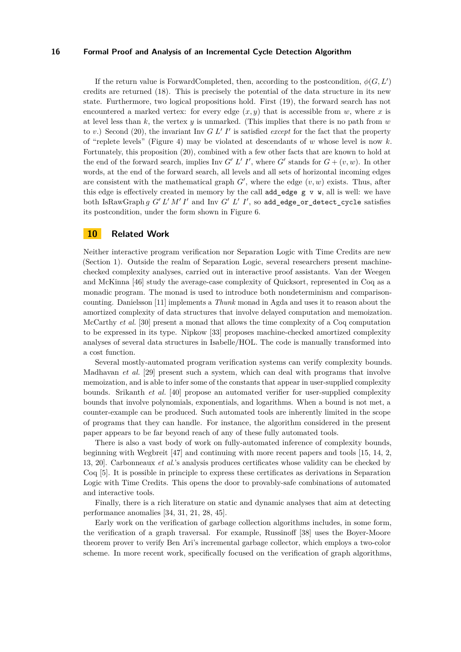If the return value is ForwardCompleted, then, according to the postcondition,  $\phi(G, L')$ credits are returned [\(18\)](#page-14-15). This is precisely the potential of the data structure in its new state. Furthermore, two logical propositions hold. First [\(19\)](#page-14-16), the forward search has not encountered a marked vertex: for every edge  $(x, y)$  that is accessible from  $w$ , where  $x$  is at level less than *k*, the vertex *y* is unmarked. (This implies that there is no path from *w* to  $v$ .) Second [\(20\)](#page-14-17), the invariant Inv  $G L' I'$  is satisfied *except* for the fact that the property of "replete levels" (Figure [4\)](#page-12-0) may be violated at descendants of *w* whose level is now *k*. Fortunately, this proposition [\(20\)](#page-14-17), combined with a few other facts that are known to hold at the end of the forward search, implies Inv *G' L' I'*, where *G'* stands for  $G + (v, w)$ . In other words, at the end of the forward search, all levels and all sets of horizontal incoming edges are consistent with the mathematical graph  $G'$ , where the edge  $(v, w)$  exists. Thus, after this edge is effectively created in memory by the call  $add\_edge g v w$ , all is well: we have both IsRawGraph *g G' L' M' I'* and Inv *G' L' I'*, so add\_edge\_or\_detect\_cycle satisfies its postcondition, under the form shown in Figure [6.](#page-14-0)

# **10 Related Work**

Neither interactive program verification nor Separation Logic with Time Credits are new (Section [1\)](#page-0-0). Outside the realm of Separation Logic, several researchers present machinechecked complexity analyses, carried out in interactive proof assistants. Van der Weegen and McKinna [\[46\]](#page-19-3) study the average-case complexity of Quicksort, represented in Coq as a monadic program. The monad is used to introduce both nondeterminism and comparisoncounting. Danielsson [\[11\]](#page-17-12) implements a *Thunk* monad in Agda and uses it to reason about the amortized complexity of data structures that involve delayed computation and memoization. McCarthy *et al.* [\[30\]](#page-18-13) present a monad that allows the time complexity of a Coq computation to be expressed in its type. Nipkow [\[33\]](#page-18-14) proposes machine-checked amortized complexity analyses of several data structures in Isabelle/HOL. The code is manually transformed into a cost function.

Several mostly-automated program verification systems can verify complexity bounds. Madhavan *et al.* [\[29\]](#page-18-15) present such a system, which can deal with programs that involve memoization, and is able to infer some of the constants that appear in user-supplied complexity bounds. Srikanth *et al.* [\[40\]](#page-18-16) propose an automated verifier for user-supplied complexity bounds that involve polynomials, exponentials, and logarithms. When a bound is not met, a counter-example can be produced. Such automated tools are inherently limited in the scope of programs that they can handle. For instance, the algorithm considered in the present paper appears to be far beyond reach of any of these fully automated tools.

There is also a vast body of work on fully-automated inference of complexity bounds, beginning with Wegbreit [\[47\]](#page-19-4) and continuing with more recent papers and tools [\[15,](#page-17-13) [14,](#page-17-14) [2,](#page-17-15) [13,](#page-17-16) [20\]](#page-17-17). Carbonneaux *et al.*'s analysis produces certificates whose validity can be checked by Coq [\[5\]](#page-17-18). It is possible in principle to express these certificates as derivations in Separation Logic with Time Credits. This opens the door to provably-safe combinations of automated and interactive tools.

Finally, there is a rich literature on static and dynamic analyses that aim at detecting performance anomalies [\[34,](#page-18-17) [31,](#page-18-18) [21,](#page-18-19) [28,](#page-18-20) [45\]](#page-19-5).

Early work on the verification of garbage collection algorithms includes, in some form, the verification of a graph traversal. For example, Russinoff [\[38\]](#page-18-21) uses the Boyer-Moore theorem prover to verify Ben Ari's incremental garbage collector, which employs a two-color scheme. In more recent work, specifically focused on the verification of graph algorithms,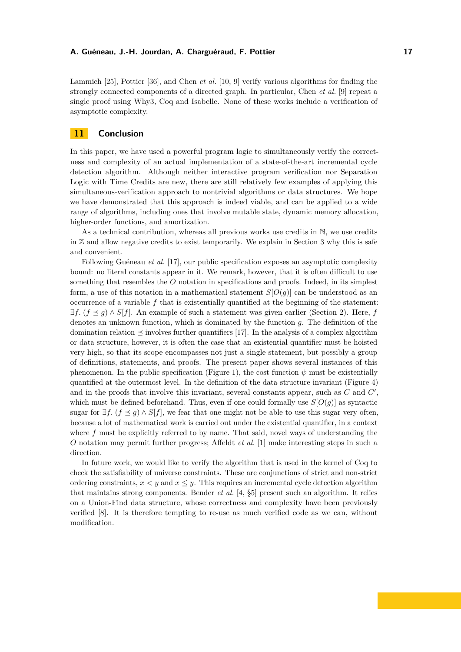Lammich [\[25\]](#page-18-2), Pottier [\[36\]](#page-18-3), and Chen *et al.* [\[10,](#page-17-0) [9\]](#page-17-1) verify various algorithms for finding the strongly connected components of a directed graph. In particular, Chen *et al.* [\[9\]](#page-17-1) repeat a single proof using Why3, Coq and Isabelle. None of these works include a verification of asymptotic complexity.

# **11 Conclusion**

In this paper, we have used a powerful program logic to simultaneously verify the correctness and complexity of an actual implementation of a state-of-the-art incremental cycle detection algorithm. Although neither interactive program verification nor Separation Logic with Time Credits are new, there are still relatively few examples of applying this simultaneous-verification approach to nontrivial algorithms or data structures. We hope we have demonstrated that this approach is indeed viable, and can be applied to a wide range of algorithms, including ones that involve mutable state, dynamic memory allocation, higher-order functions, and amortization.

As a technical contribution, whereas all previous works use credits in N, we use credits in  $\mathbb Z$  and allow negative credits to exist temporarily. We explain in Section [3](#page-4-0) why this is safe and convenient.

Following Guéneau *et al.* [\[17\]](#page-17-7), our public specification exposes an asymptotic complexity bound: no literal constants appear in it. We remark, however, that it is often difficult to use something that resembles the *O* notation in specifications and proofs. Indeed, in its simplest form, a use of this notation in a mathematical statement  $S[O(g)]$  can be understood as an occurrence of a variable *f* that is existentially quantified at the beginning of the statement:  $\exists f.$  ( $f \leq g$ )  $\wedge S[f]$ . An example of such a statement was given earlier (Section [2\)](#page-2-0). Here, *f* denotes an unknown function, which is dominated by the function *g*. The definition of the domination relation  $\preceq$  involves further quantifiers [\[17\]](#page-17-7). In the analysis of a complex algorithm or data structure, however, it is often the case that an existential quantifier must be hoisted very high, so that its scope encompasses not just a single statement, but possibly a group of definitions, statements, and proofs. The present paper shows several instances of this phenomenon. In the public specification (Figure [1\)](#page-5-0), the cost function  $\psi$  must be existentially quantified at the outermost level. In the definition of the data structure invariant (Figure [4\)](#page-12-0) and in the proofs that involve this invariant, several constants appear, such as  $C$  and  $C'$ , which must be defined beforehand. Thus, even if one could formally use  $S[O(g)]$  as syntactic sugar for  $\exists f$ . ( $f \leq g$ )  $\wedge S[f]$ , we fear that one might not be able to use this sugar very often, because a lot of mathematical work is carried out under the existential quantifier, in a context where f must be explicitly referred to by name. That said, novel ways of understanding the *O* notation may permit further progress; Affeldt *et al.* [\[1\]](#page-17-19) make interesting steps in such a direction.

In future work, we would like to verify the algorithm that is used in the kernel of Coq to check the satisfiability of universe constraints. These are conjunctions of strict and non-strict ordering constraints,  $x < y$  and  $x \leq y$ . This requires an incremental cycle detection algorithm that maintains strong components. Bender *et al.* [\[4,](#page-17-9) §5] present such an algorithm. It relies on a Union-Find data structure, whose correctness and complexity have been previously verified [\[8\]](#page-17-3). It is therefore tempting to re-use as much verified code as we can, without modification.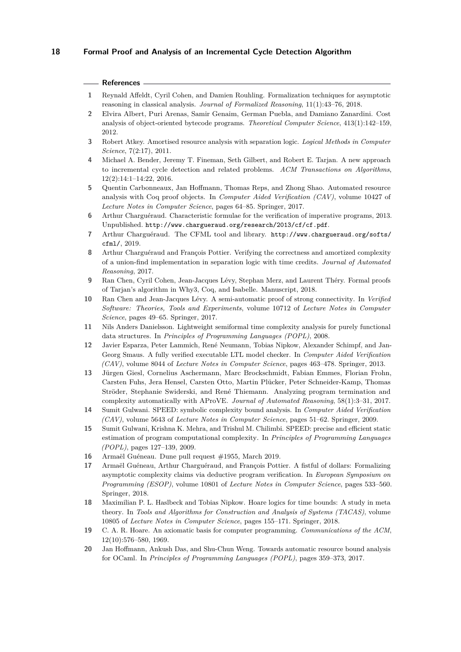# **References**

- <span id="page-17-19"></span>**1** Reynald Affeldt, Cyril Cohen, and Damien Rouhling. [Formalization techniques for asymptotic](http://www-sop.inria.fr/members/Damien.Rouhling/data/papers/JFR2018.pdf) [reasoning in classical analysis.](http://www-sop.inria.fr/members/Damien.Rouhling/data/papers/JFR2018.pdf) *Journal of Formalized Reasoning*, 11(1):43–76, 2018.
- <span id="page-17-15"></span>**2** Elvira Albert, Puri Arenas, Samir Genaim, German Puebla, and Damiano Zanardini. [Cost](http://costa.fdi.ucm.es/~damiano/pubs/tcs12.pdf) [analysis of object-oriented bytecode programs.](http://costa.fdi.ucm.es/~damiano/pubs/tcs12.pdf) *Theoretical Computer Science*, 413(1):142–159, 2012.
- <span id="page-17-6"></span>**3** Robert Atkey. [Amortised resource analysis with separation logic.](http://bentnib.org/amortised-sep-logic-journal.pdf) *Logical Methods in Computer Science*, 7(2:17), 2011.
- <span id="page-17-9"></span>**4** Michael A. Bender, Jeremy T. Fineman, Seth Gilbert, and Robert E. Tarjan. [A new approach](https://doi.org/10.1145/2756553) [to incremental cycle detection and related problems.](https://doi.org/10.1145/2756553) *ACM Transactions on Algorithms*, 12(2):14:1–14:22, 2016.
- <span id="page-17-18"></span>**5** Quentin Carbonneaux, Jan Hoffmann, Thomas Reps, and Zhong Shao. [Automated resource](http://www.cs.yale.edu/homes/qcar/data/aracoq.pdf) [analysis with Coq proof objects.](http://www.cs.yale.edu/homes/qcar/data/aracoq.pdf) In *Computer Aided Verification (CAV)*, volume 10427 of *Lecture Notes in Computer Science*, pages 64–85. Springer, 2017.
- <span id="page-17-4"></span>**6** Arthur Charguéraud. Characteristic formulae for the verification of imperative programs, 2013. Unpublished. <http://www.chargueraud.org/research/2013/cf/cf.pdf>.
- <span id="page-17-5"></span>**7** Arthur Charguéraud. The CFML tool and library. [http://www.chargueraud.org/softs/](http://www.chargueraud.org/softs/cfml/) [cfml/](http://www.chargueraud.org/softs/cfml/), 2019.
- <span id="page-17-3"></span>**8** Arthur Charguéraud and François Pottier. [Verifying the correctness and amortized complexity](http://gallium.inria.fr/~fpottier/publis/chargueraud-pottier-uf-sltc.pdf) [of a union-find implementation in separation logic with time credits.](http://gallium.inria.fr/~fpottier/publis/chargueraud-pottier-uf-sltc.pdf) *Journal of Automated Reasoning*, 2017.
- <span id="page-17-1"></span>**9** Ran Chen, Cyril Cohen, Jean-Jacques Lévy, Stephan Merz, and Laurent Théry. [Formal proofs](https://arxiv.org/pdf/1810.11979.pdf) [of Tarjan's algorithm in Why3, Coq, and Isabelle.](https://arxiv.org/pdf/1810.11979.pdf) Manuscript, 2018.
- <span id="page-17-0"></span>**10** Ran Chen and Jean-Jacques Lévy. [A semi-automatic proof of strong connectivity.](http://pauillac.inria.fr/~levy/pubs/17scct.pdf) In *Verified Software: Theories, Tools and Experiments*, volume 10712 of *Lecture Notes in Computer Science*, pages 49–65. Springer, 2017.
- <span id="page-17-12"></span>**11** Nils Anders Danielsson. [Lightweight semiformal time complexity analysis for purely functional](http://www.cse.chalmers.se/~nad/publications/danielsson-popl2008.pdf) [data structures.](http://www.cse.chalmers.se/~nad/publications/danielsson-popl2008.pdf) In *Principles of Programming Languages (POPL)*, 2008.
- <span id="page-17-2"></span>**12** Javier Esparza, Peter Lammich, René Neumann, Tobias Nipkow, Alexander Schimpf, and Jan-Georg Smaus. [A fully verified executable LTL model checker.](https://www21.in.tum.de/~nipkow/pubs/cav13.pdf) In *Computer Aided Verification (CAV)*, volume 8044 of *Lecture Notes in Computer Science*, pages 463–478. Springer, 2013.
- <span id="page-17-16"></span>**13** Jürgen Giesl, Cornelius Aschermann, Marc Brockschmidt, Fabian Emmes, Florian Frohn, Carsten Fuhs, Jera Hensel, Carsten Otto, Martin Plücker, Peter Schneider-Kamp, Thomas Ströder, Stephanie Swiderski, and René Thiemann. [Analyzing program termination and](https://verify.rwth-aachen.de/giesl/papers/JAR-AProVE.pdf) [complexity automatically with AProVE.](https://verify.rwth-aachen.de/giesl/papers/JAR-AProVE.pdf) *Journal of Automated Reasoning*, 58(1):3–31, 2017.
- <span id="page-17-14"></span>**14** Sumit Gulwani. [SPEED: symbolic complexity bound analysis.](https://www.microsoft.com/en-us/research/publication/speed-symbolic-complexity-bound-analysis/) In *Computer Aided Verification (CAV)*, volume 5643 of *Lecture Notes in Computer Science*, pages 51–62. Springer, 2009.
- <span id="page-17-13"></span>**15** Sumit Gulwani, Krishna K. Mehra, and Trishul M. Chilimbi. [SPEED: precise and efficient static](https://www.microsoft.com/en-us/research/publication/speed-precise-and-efficient-static-estimation-of-program-computational-complexity-2/) [estimation of program computational complexity.](https://www.microsoft.com/en-us/research/publication/speed-precise-and-efficient-static-estimation-of-program-computational-complexity-2/) In *Principles of Programming Languages (POPL)*, pages 127–139, 2009.
- <span id="page-17-10"></span>**16** Armaël Guéneau. [Dune pull request #1955,](https://github.com/ocaml/dune/pull/1955) March 2019.
- <span id="page-17-7"></span>**17** Armaël Guéneau, Arthur Charguéraud, and François Pottier. [A fistful of dollars: Formalizing](http://gallium.inria.fr/~fpottier/publis/gueneau-chargeraud-pottier-esop2018.pdf) [asymptotic complexity claims via deductive program verification.](http://gallium.inria.fr/~fpottier/publis/gueneau-chargeraud-pottier-esop2018.pdf) In *European Symposium on Programming (ESOP)*, volume 10801 of *Lecture Notes in Computer Science*, pages 533–560. Springer, 2018.
- <span id="page-17-8"></span>**18** Maximilian P. L. Haslbeck and Tobias Nipkow. [Hoare logics for time bounds: A study in meta](https://www21.in.tum.de/~nipkow/pubs/tacas18.pdf) [theory.](https://www21.in.tum.de/~nipkow/pubs/tacas18.pdf) In *Tools and Algorithms for Construction and Analysis of Systems (TACAS)*, volume 10805 of *Lecture Notes in Computer Science*, pages 155–171. Springer, 2018.
- <span id="page-17-11"></span>**19** C. A. R. Hoare. [An axiomatic basis for computer programming.](http://doi.acm.org/10.1145/363235.363259) *Communications of the ACM*, 12(10):576–580, 1969.
- <span id="page-17-17"></span>**20** Jan Hoffmann, Ankush Das, and Shu-Chun Weng. [Towards automatic resource bound analysis](http://www.cs.cmu.edu/~janh/papers/HoffmannDW17.pdf) [for OCaml.](http://www.cs.cmu.edu/~janh/papers/HoffmannDW17.pdf) In *Principles of Programming Languages (POPL)*, pages 359–373, 2017.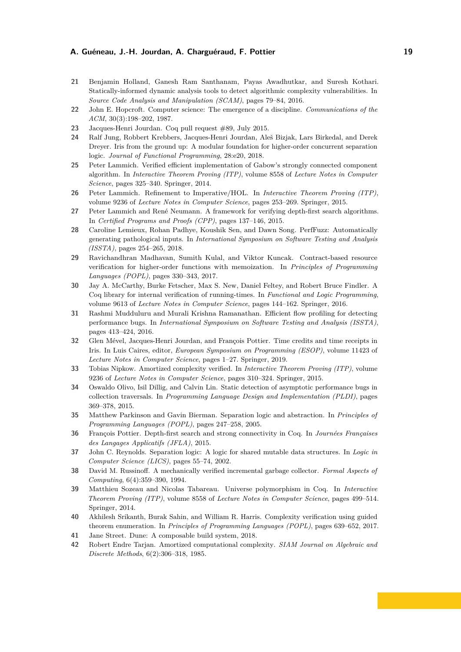- <span id="page-18-19"></span>**21** Benjamin Holland, Ganesh Ram Santhanam, Payas Awadhutkar, and Suresh Kothari. [Statically-informed dynamic analysis tools to detect algorithmic complexity vulnerabilities.](https://ben-holland.com/papers/Statically-informed_Dynamic_Analysis_Tools_to_Detect_Algorithmic_Complexity_Vulnerabilities.pdf) In *Source Code Analysis and Manipulation (SCAM)*, pages 79–84, 2016.
- <span id="page-18-4"></span>**22** John E. Hopcroft. [Computer science: The emergence of a discipline.](https://doi.org/10.1145/214748.214750) *Communications of the ACM*, 30(3):198–202, 1987.
- <span id="page-18-9"></span>**23** Jacques-Henri Jourdan. [Coq pull request #89,](https://github.com/coq/coq/pull/89) July 2015.
- <span id="page-18-11"></span>**24** Ralf Jung, Robbert Krebbers, Jacques-Henri Jourdan, Aleš Bizjak, Lars Birkedal, and Derek Dreyer. [Iris from the ground up: A modular foundation for higher-order concurrent separation](https://people.mpi-sws.org/~dreyer/papers/iris-ground-up/paper.pdf) [logic.](https://people.mpi-sws.org/~dreyer/papers/iris-ground-up/paper.pdf) *Journal of Functional Programming*, 28:e20, 2018.
- <span id="page-18-2"></span>**25** Peter Lammich. [Verified efficient implementation of Gabow's strongly connected component](http://www21.in.tum.de/~lammich/pub/gabow_scc.pdf) [algorithm.](http://www21.in.tum.de/~lammich/pub/gabow_scc.pdf) In *Interactive Theorem Proving (ITP)*, volume 8558 of *Lecture Notes in Computer Science*, pages 325–340. Springer, 2014.
- <span id="page-18-1"></span>**26** Peter Lammich. [Refinement to Imperative/HOL.](https://www21.in.tum.de/~lammich/pub/itp15_sepref.pdf) In *Interactive Theorem Proving (ITP)*, volume 9236 of *Lecture Notes in Computer Science*, pages 253–269. Springer, 2015.
- <span id="page-18-0"></span>**27** Peter Lammich and René Neumann. [A framework for verifying depth-first search algorithms.](https://www.ssrg.ece.vt.edu/~lammich/pub/cpp2015_dfs.pdf) In *Certified Programs and Proofs (CPP)*, pages 137–146, 2015.
- <span id="page-18-20"></span>**28** Caroline Lemieux, Rohan Padhye, Koushik Sen, and Dawn Song. [PerfFuzz: Automatically](http://www.carolemieux.com/perffuzz-issta2018.pdf) [generating pathological inputs.](http://www.carolemieux.com/perffuzz-issta2018.pdf) In *International Symposium on Software Testing and Analysis (ISSTA)*, pages 254–265, 2018.
- <span id="page-18-15"></span>**29** Ravichandhran Madhavan, Sumith Kulal, and Viktor Kuncak. [Contract-based resource](http://lara.epfl.ch/~kandhada/orb-popl17.pdf) [verification for higher-order functions with memoization.](http://lara.epfl.ch/~kandhada/orb-popl17.pdf) In *Principles of Programming Languages (POPL)*, pages 330–343, 2017.
- <span id="page-18-13"></span>**30** Jay A. McCarthy, Burke Fetscher, Max S. New, Daniel Feltey, and Robert Bruce Findler. [A](https://www.eecs.northwestern.edu/~robby/pubs/papers/flops2016-mfnff.pdf) [Coq library for internal verification of running-times.](https://www.eecs.northwestern.edu/~robby/pubs/papers/flops2016-mfnff.pdf) In *Functional and Logic Programming*, volume 9613 of *Lecture Notes in Computer Science*, pages 144–162. Springer, 2016.
- <span id="page-18-18"></span>**31** Rashmi Mudduluru and Murali Krishna Ramanathan. [Efficient flow profiling for detecting](https://drona.csa.iisc.ac.in/~sss/tools/object_flow_profiler/paper.pdf) [performance bugs.](https://drona.csa.iisc.ac.in/~sss/tools/object_flow_profiler/paper.pdf) In *International Symposium on Software Testing and Analysis (ISSTA)*, pages 413–424, 2016.
- <span id="page-18-6"></span>**32** Glen Mével, Jacques-Henri Jourdan, and François Pottier. [Time credits and time receipts in](http://gallium.inria.fr/~fpottier/publis/mevel-jourdan-pottier-time-in-iris-2019.pdf) [Iris.](http://gallium.inria.fr/~fpottier/publis/mevel-jourdan-pottier-time-in-iris-2019.pdf) In Luis Caires, editor, *European Symposium on Programming (ESOP)*, volume 11423 of *Lecture Notes in Computer Science*, pages 1–27. Springer, 2019.
- <span id="page-18-14"></span>**33** Tobias Nipkow. [Amortized complexity verified.](http://www21.in.tum.de/~nipkow/pubs/itp15.pdf) In *Interactive Theorem Proving (ITP)*, volume 9236 of *Lecture Notes in Computer Science*, pages 310–324. Springer, 2015.
- <span id="page-18-17"></span>**34** Oswaldo Olivo, Isil Dillig, and Calvin Lin. [Static detection of asymptotic performance bugs in](http://www.cs.utexas.edu/~isil/pldi15a.pdf) [collection traversals.](http://www.cs.utexas.edu/~isil/pldi15a.pdf) In *Programming Language Design and Implementation (PLDI)*, pages 369–378, 2015.
- <span id="page-18-12"></span>**35** Matthew Parkinson and Gavin Bierman. [Separation logic and abstraction.](http://dx.doi.org/10.1145/1040305.1040326) In *Principles of Programming Languages (POPL)*, pages 247–258, 2005.
- <span id="page-18-3"></span>**36** François Pottier. [Depth-first search and strong connectivity in Coq.](http://gallium.inria.fr/~fpottier/publis/fpottier-dfs-scc.pdf) In *Journées Françaises des Langages Applicatifs (JFLA)*, 2015.
- <span id="page-18-5"></span>**37** John C. Reynolds. [Separation logic: A logic for shared mutable data structures.](http://www.cs.cmu.edu/~jcr/seplogic.pdf) In *Logic in Computer Science (LICS)*, pages 55–74, 2002.
- <span id="page-18-21"></span>**38** David M. Russinoff. A mechanically verified incremental garbage collector. *Formal Aspects of Computing*, 6(4):359–390, 1994.
- <span id="page-18-8"></span>**39** Matthieu Sozeau and Nicolas Tabareau. [Universe polymorphism in Coq.](https://www.irif.fr/~sozeau/research/publications/Universe_Polymorphism_in_Coq.pdf) In *Interactive Theorem Proving (ITP)*, volume 8558 of *Lecture Notes in Computer Science*, pages 499–514. Springer, 2014.
- <span id="page-18-16"></span>**40** Akhilesh Srikanth, Burak Sahin, and William R. Harris. [Complexity verification using guided](https://www.cc.gatech.edu/~wharris/publications/complexity-analysis.pdf) [theorem enumeration.](https://www.cc.gatech.edu/~wharris/publications/complexity-analysis.pdf) In *Principles of Programming Languages (POPL)*, pages 639–652, 2017.
- <span id="page-18-7"></span>**41** Jane Street. [Dune: A composable build system,](https://dune.build/) 2018.
- <span id="page-18-10"></span>**42** Robert Endre Tarjan. [Amortized computational complexity.](http://dx.doi.org/10.1137/0606031) *SIAM Journal on Algebraic and Discrete Methods*, 6(2):306–318, 1985.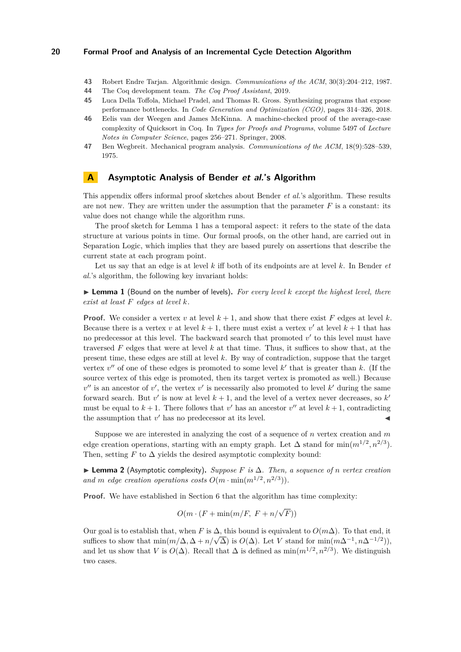- <span id="page-19-0"></span>**43** Robert Endre Tarjan. [Algorithmic design.](https://doi.org/10.1145/214748.214752) *Communications of the ACM*, 30(3):204–212, 1987.
- <span id="page-19-1"></span>**44** The Coq development team. *[The Coq Proof Assistant](http://coq.inria.fr/)*, 2019.
- <span id="page-19-5"></span>**45** Luca Della Toffola, Michael Pradel, and Thomas R. Gross. [Synthesizing programs that expose](http://mp.binaervarianz.de/cgo2018.pdf) [performance bottlenecks.](http://mp.binaervarianz.de/cgo2018.pdf) In *Code Generation and Optimization (CGO)*, pages 314–326, 2018.
- <span id="page-19-3"></span>**46** Eelis van der Weegen and James McKinna. [A machine-checked proof of the average-case](http://www.cs.ru.nl/~james/2008-TYPES/final.pdf) [complexity of Quicksort in Coq.](http://www.cs.ru.nl/~james/2008-TYPES/final.pdf) In *Types for Proofs and Programs*, volume 5497 of *Lecture Notes in Computer Science*, pages 256–271. Springer, 2008.
- <span id="page-19-4"></span>**47** Ben Wegbreit. [Mechanical program analysis.](http://doi.acm.org/10.1145/361002.361016) *Communications of the ACM*, 18(9):528–539, 1975.

# <span id="page-19-2"></span>**A Asymptotic Analysis of Bender et al.'s Algorithm**

This appendix offers informal proof sketches about Bender *et al.*'s algorithm. These results are not new. They are written under the assumption that the parameter  $F$  is a constant: its value does not change while the algorithm runs.

The proof sketch for Lemma [1](#page-19-6) has a temporal aspect: it refers to the state of the data structure at various points in time. Our formal proofs, on the other hand, are carried out in Separation Logic, which implies that they are based purely on assertions that describe the current state at each program point.

Let us say that an edge is at level *k* iff both of its endpoints are at level *k*. In Bender *et al.*'s algorithm, the following key invariant holds:

<span id="page-19-6"></span>I **Lemma 1** (Bound on the number of levels)**.** *For every level k except the highest level, there exist at least F edges at level k.*

**Proof.** We consider a vertex *v* at level  $k + 1$ , and show that there exist F edges at level k. Because there is a vertex *v* at level  $k + 1$ , there must exist a vertex *v'* at level  $k + 1$  that has no predecessor at this level. The backward search that promoted  $v'$  to this level must have traversed *F* edges that were at level *k* at that time. Thus, it suffices to show that, at the present time, these edges are still at level *k*. By way of contradiction, suppose that the target vertex  $v''$  of one of these edges is promoted to some level  $k'$  that is greater than  $k$ . (If the source vertex of this edge is promoted, then its target vertex is promoted as well.) Because  $v''$  is an ancestor of  $v'$ , the vertex  $v'$  is necessarily also promoted to level  $k'$  during the same forward search. But  $v'$  is now at level  $k + 1$ , and the level of a vertex never decreases, so  $k'$ must be equal to  $k + 1$ . There follows that  $v'$  has an ancestor  $v''$  at level  $k + 1$ , contradicting the assumption that  $v'$  has no predecessor at its level.

Suppose we are interested in analyzing the cost of a sequence of *n* vertex creation and *m* edge creation operations, starting with an empty graph. Let  $\Delta$  stand for  $\min(m^{1/2}, n^{2/3})$ . Then, setting  $F$  to  $\Delta$  yields the desired asymptotic complexity bound:

I **Lemma 2** (Asymptotic complexity)**.** *Suppose F is* ∆*. Then, a sequence of n vertex creation and m edge creation operations costs*  $O(m \cdot \min(m^{1/2}, n^{2/3}))$ *.* 

**Proof.** We have established in Section [6](#page-8-0) that the algorithm has time complexity:

$$
O(m \cdot (F + \min(m/F, F + n/\sqrt{F}))
$$

Our goal is to establish that, when *F* is  $\Delta$ , this bound is equivalent to  $O(m\Delta)$ . To that end, it Uur goal is to establish that, when *r* is Δ, this bound is equivalent to  $O(m\Delta)$ . To that end, it suffices to show that  $min(m/\Delta, \Delta + n/\sqrt{\Delta})$  is  $O(\Delta)$ . Let *V* stand for  $min(m\Delta^{-1}, n\Delta^{-1/2}))$ , and let us show that *V* is  $O(\Delta)$ . Recall that  $\Delta$  is defined as  $\min(m^{1/2}, n^{2/3})$ . We distinguish two cases.